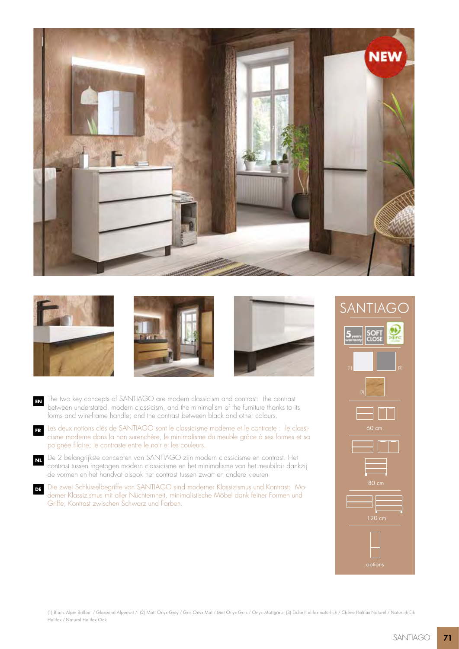







- **EN** The two key concepts of SANTIAGO are modern classicism and contrast: the contrast between understated, modern classicism, and the minimalism of the furniture thanks to its forms and wire-frame handle; and the contrast between black and other colours.
- **FR** Les deux notions clés de SANTIAGO sont le classicisme moderne et le contraste : le classicisme moderne dans la non surenchère, le minimalisme du meuble grâce à ses formes et sa poignée filaire; le contraste entre le noir et les couleurs.
- **NL** De 2 belangrijkste concepten van SANTIAGO zijn modern classicisme en contrast. Het contrast tussen ingetogen modern classicisme en het minimalisme van het meubilair dankzij de vormen en het handvat alsook het contrast tussen zwart en andere kleuren
- **DE** Die zwei Schlüsselbegriffe von SANTIAGO sind moderner Klassizismus und Kontrast: Moderner Klassizismus mit aller Nüchternheit, minimalistische Möbel dank feiner Formen und Griffe; Kontrast zwischen Schwarz und Farben.

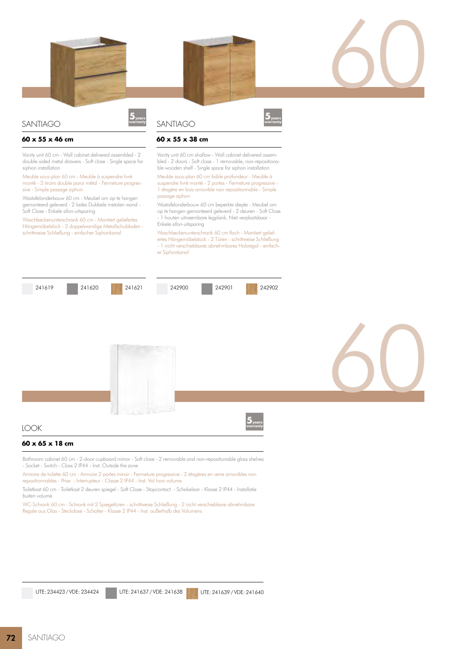

## SANTIAGO

#### **60 x 55 x 46 cm**

Vanity unit 60 cm - Wall cabinet delivered assembled - 2 double-sided metal drawers - Soft close - Single space for siphon installation

Meuble sous-plan 60 cm - Meuble à suspendre livré monté - 2 tiroirs double paroi métal - Fermeture progressive - Simple passage siphon

Wastafelonderbouw 60 cm - Meubel om op te hangen gemonteerd geleverd - 2 lades Dubbele metalen wand - Soft Close - Enkele sifon-uitsparing

Waschbeckenunterschrank 60 cm - Montiert geliefertes Hängemöbelstück - 2 doppelwandige Metallschubladen schrittweise Schließung - einfacher Siphonkanal

# **SANTIAGO**



#### **60 x 55 x 38 cm**

Vanity unit 60 cm shallow - Wall cabinet delivered assembled - 2 doors - Soft close - 1 removable, non-repositionable wooden shelf - Single space for siphon installation

Meuble sous-plan 60 cm faible profondeur - Meuble à suspendre livré monté - 2 portes - Fermeture progressive - 1 étagère en bois amovible non repositionnable - Simple passage siphon

Wastafelonderbouw 60 cm beperkte diepte - Meubel om op te hangen gemonteerd geleverd - 2 deuren - Soft Close - 1 houten uitneembare legplank. Niet verplaatsbaar - Enkele sifon-uitsparing

Waschbeckenunterschrank 60 cm flach - Montiert geliefertes Hängemöbelstück - 2 Türen - schrittweise Schließung - 1 nicht verschiebbares abnehmbares Holzregal - einfacher Siphonkanal







60

# LOOK

# **60 x 65 x 18 cm**

Bathroom cabinet 60 cm - 2-door cupboard mirror - Soft close - 2 removable and non-repositionable glass shelves - Socket - Switch - Class 2 IP44 - Inst. Outside the zone

Armoire de toilette 60 cm - Armoire 2 portes miroir - Fermeture progressive - 2 étagères en verre amovibles non repositionnables - Prise - Interrupteur - Classe 2 IP44 - Inst. Vol hors volume

Toiletkast 60 cm - Toiletkast 2 deuren spiegel - Soft Close - Stopcontact - Schakelaar - Klasse 2 IP44 - Installatie buiten volume

WC-Schrank 60 cm - Schrank mit 2 Spiegeltüren - schrittweise Schließung - 2 nicht verschiebbare abnehmbare Regale aus Glas - Steckdose - Schalter - Klasse 2 IP44 - Inst. außerhalb des Volumens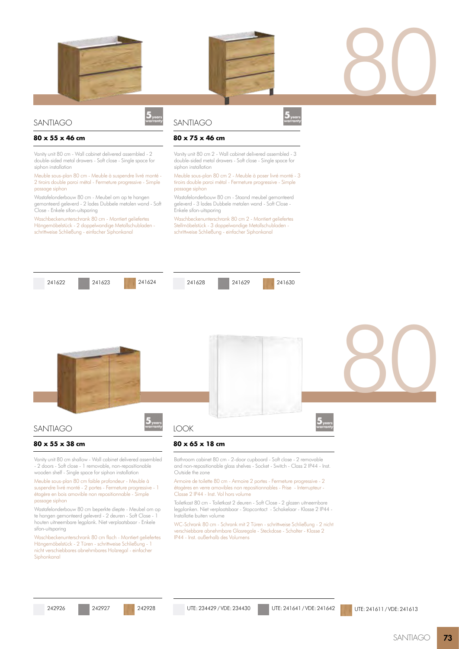





### **SANTIAGO**

#### **80 x 55 x 46 cm**

Vanity unit 80 cm - Wall cabinet delivered assembled - 2 double-sided metal drawers - Soft close - Single space for siphon installation

Meuble sous-plan 80 cm - Meuble à suspendre livré monté - 2 tiroirs double paroi métal - Fermeture progressive - Simple passage siphon

Wastafelonderbouw 80 cm - Meubel om op te hangen gemonteerd geleverd - 2 lades Dubbele metalen wand - Soft Close - Enkele sifon-uitsparing

Waschbeckenunterschrank 80 cm - Montiert geliefertes Hängemöbelstück - 2 doppelwandige Metallschubladen schrittweise Schließung - einfacher Siphonkanal

## SANTIAGO



### **80 x 75 x 46 cm**

Vanity unit 80 cm 2 - Wall cabinet delivered assembled - 3 double-sided metal drawers - Soft close - Single space for siphon installation

Meuble sous-plan 80 cm 2 - Meuble à poser livré monté - 3 tiroirs double paroi métal - Fermeture progressive - Simple passage siphon

Wastafelonderbouw 80 cm - Staand meubel gemonteerd geleverd - 3 lades Dubbele metalen wand - Soft Close - Enkele sifon-uitsparing

Waschbeckenunterschrank 80 cm 2 - Montiert geliefertes Stellmöbelstück - 3 doppelwandige Metallschubladen schrittweise Schließung - einfacher Siphonkanal



Armoire de toilette 80 cm - Armoire 2 portes - Fermeture progressive - 2 étagères en verre amovibles non repositionnables - Prise - Interrupteur - Classe 2 IP44 - Inst. Vol hors volume

Toiletkast 80 cm - Toiletkast 2 deuren - Soft Close - 2 glazen uitneembare legplanken. Niet verplaatsbaar - Stopcontact - Schakelaar - Klasse 2 IP44 - Installatie buiten volume

WC-Schrank 80 cm - Schrank mit 2 Türen - schrittweise Schließung - 2 nicht verschiebbare abnehmbare Glasregale - Steckdose - Schalter - Klasse 2 IP44 - Inst. außerhalb des Volumens

|  |  | 242926 |  |
|--|--|--------|--|
|--|--|--------|--|

passage siphon

sifon-uitsparing

**Sinhonkanal** 

suspendre livré monté - 2 portes - Fermeture progressive - 1 étagère en bois amovible non repositionnable - Simple

Wastafelonderbouw 80 cm beperkte diepte - Meubel om op te hangen gemonteerd geleverd - 2 deuren - Soft Close - 1 houten uitneembare legplank. Niet verplaatsbaar - Enkele

Waschbeckenunterschrank 80 cm flach - Montiert geliefertes Hängemöbelstück - 2 Türen - schrittweise Schließung - 1 nicht verschiebbares abnehmbares Holzregal - einfacher

UTE: 234429 / VDE: 234430 UTE: 241641 / VDE: 241642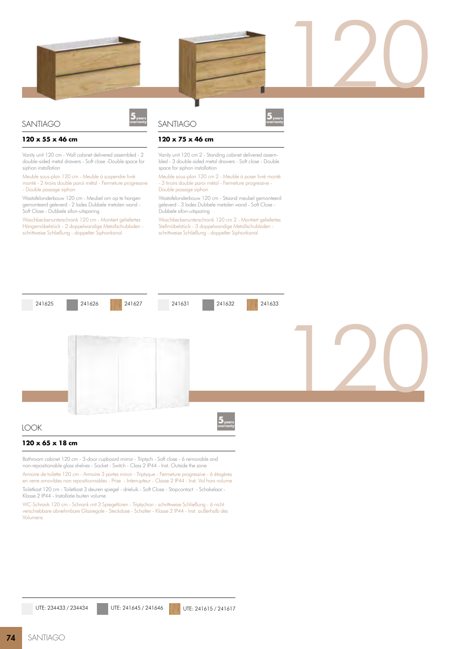



## SANTIAGO

#### **120 x 55 x 46 cm**

Vanity unit 120 cm - Wall cabinet delivered assembled - 2 double-sided metal drawers - Soft close -Double space for siphon installation

Meuble sous-plan 120 cm - Meuble à suspendre livré monté - 2 tiroirs double paroi métal - Fermeture progressive - Double passage siphon

Wastafelonderbouw 120 cm - Meubel om op te hangen gemonteerd geleverd - 2 lades Dubbele metalen wand - Soft Close - Dubbele sifon-uitsparing

Waschbeckenunterschrank 120 cm - Montiert geliefertes Hängemöbelstück - 2 doppelwandige Metallschubladen schrittweise Schließung - doppelter Siphonkanal

# **SANTIAGO**



120

### **120 x 75 x 46 cm**

Vanity unit 120 cm 2 - Standing cabinet delivered assembled - 3 double-sided metal drawers - Soft close - Double space for siphon installation

Meuble sous-plan 120 cm 2 - Meuble à poser livré monté - 3 tiroirs double paroi métal - Fermeture progressive - Double passage siphon

Wastafelonderbouw 120 cm - Staand meubel gemonteerd geleverd - 3 lades Dubbele metalen wand - Soft Close - Dubbele sifon-uitsparing

Waschbeckenunterschrank 120 cm 2 - Montiert geliefertes Stellmöbelstück - 3 doppelwandige Metallschubladen schrittweise Schließung - doppelter Siphonkanal



Bathroom cabinet 120 cm - 3-door cupboard mirror - Triptych - Soft close - 6 removable and non-repositionable glass shelves - Socket - Switch - Class 2 IP44 - Inst. Outside the zone

Armoire de toilette 120 cm - Armoire 3 portes miroir - Triptyque - Fermeture progressive - 6 étagères en verre amovibles non repositionnables - Prise - Interrupteur - Classe 2 IP44 - Inst. Vol hors volume Toiletkast 120 cm - Toiletkast 3 deuren spiegel - drieluik - Soft Close - Stopcontact - Schakelaar - Klasse 2 IP44 - Installatie buiten volume

WC-Schrank 120 cm - Schrank mit 3 Spiegeltüren - Triptychon - schrittweise Schließung - 6 nicht verschiebbare abnehmbare Glasregale - Steckdose - Schalter - Klasse 2 IP44 - Inst. außerhalb des Volumens